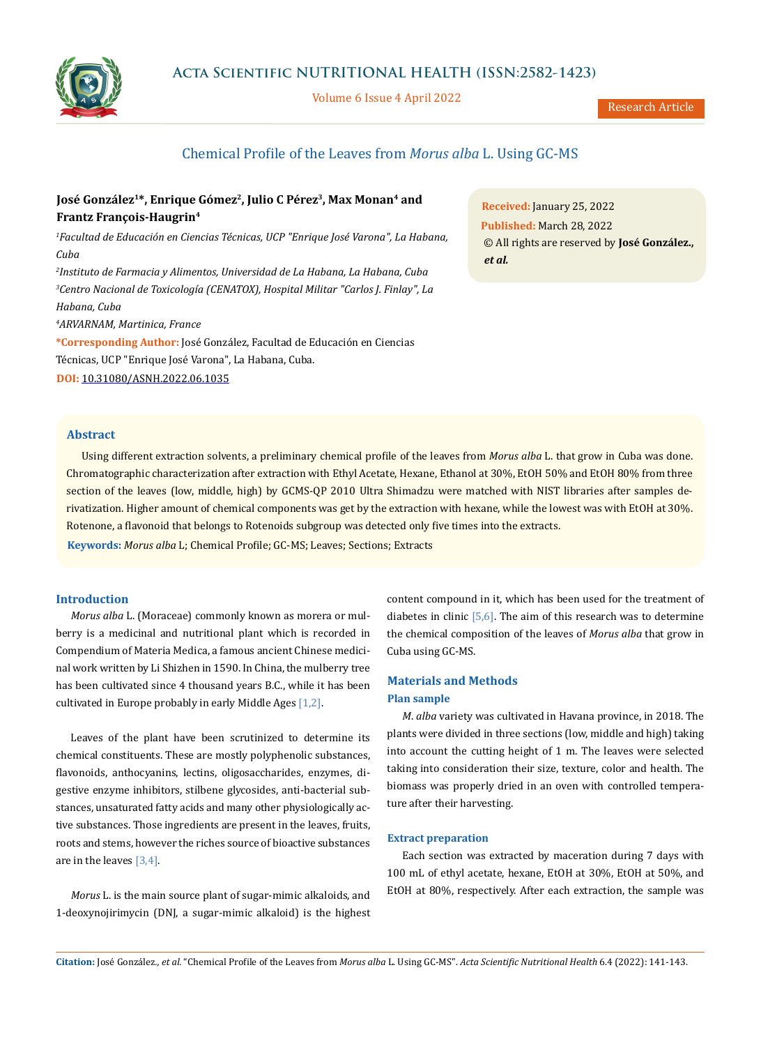

## **Acta Scientific NUTRITIONAL HEALTH (ISSN:2582-1423)**

Volume 6 Issue 4 April 2022

# Chemical Profile of the Leaves from *Morus alba* L. Using GC-MS

# José González<sup>1\*</sup>, Enrique Gómez<sup>2</sup>, Julio C Pérez<sup>3</sup>, Max Monan<sup>4</sup> and **Frantz François-Haugrin4**

*1 Facultad de Educación en Ciencias Técnicas, UCP "Enrique José Varona", La Habana, Cuba*

*2 Instituto de Farmacia y Alimentos, Universidad de La Habana, La Habana, Cuba 3 Centro Nacional de Toxicología (CENATOX), Hospital Militar "Carlos J. Finlay", La Habana, Cuba*

*4 ARVARNAM, Martinica, France*

**\*Corresponding Author:** José González, Facultad de Educación en Ciencias Técnicas, UCP "Enrique José Varona", La Habana, Cuba.

**DOI:** [10.31080/ASNH.2022.06.1035](https://actascientific.com/ASNH/pdf/ASNH-06-1035.pdf)

**Received:** January 25, 2022 **Published:** March 28, 2022 © All rights are reserved by **José González.,**  *et al.*

### **Abstract**

Using different extraction solvents, a preliminary chemical profile of the leaves from *Morus alba* L. that grow in Cuba was done. Chromatographic characterization after extraction with Ethyl Acetate, Hexane, Ethanol at 30%, EtOH 50% and EtOH 80% from three section of the leaves (low, middle, high) by GCMS-QP 2010 Ultra Shimadzu were matched with NIST libraries after samples derivatization. Higher amount of chemical components was get by the extraction with hexane, while the lowest was with EtOH at 30%. Rotenone, a flavonoid that belongs to Rotenoids subgroup was detected only five times into the extracts.

**Keywords:** *Morus alba* L; Chemical Profile; GC-MS; Leaves; Sections; Extracts

## **Introduction**

*Morus alba* L. (Moraceae) commonly known as morera or mulberry is a medicinal and nutritional plant which is recorded in Compendium of Materia Medica, a famous ancient Chinese medicinal work written by Li Shizhen in 1590. In China, the mulberry tree has been cultivated since 4 thousand years B.C., while it has been cultivated in Europe probably in early Middle Ages [1,2].

Leaves of the plant have been scrutinized to determine its chemical constituents. These are mostly polyphenolic substances, flavonoids, anthocyanins, lectins, oligosaccharides, enzymes, digestive enzyme inhibitors, stilbene glycosides, anti-bacterial substances, unsaturated fatty acids and many other physiologically active substances. Those ingredients are present in the leaves, fruits, roots and stems, however the riches source of bioactive substances are in the leaves [3,4].

*Morus* L. is the main source plant of sugar-mimic alkaloids, and 1-deoxynojirimycin (DNJ, a sugar-mimic alkaloid) is the highest content compound in it, which has been used for the treatment of diabetes in clinic  $[5,6]$ . The aim of this research was to determine the chemical composition of the leaves of *Morus alba* that grow in Cuba using GC-MS.

## **Materials and Methods Plan sample**

*M*. *alba* variety was cultivated in Havana province, in 2018. The plants were divided in three sections (low, middle and high) taking into account the cutting height of 1 m. The leaves were selected taking into consideration their size, texture, color and health. The biomass was properly dried in an oven with controlled temperature after their harvesting.

#### **Extract preparation**

Each section was extracted by maceration during 7 days with 100 mL of ethyl acetate, hexane, EtOH at 30%, EtOH at 50%, and EtOH at 80%, respectively. After each extraction, the sample was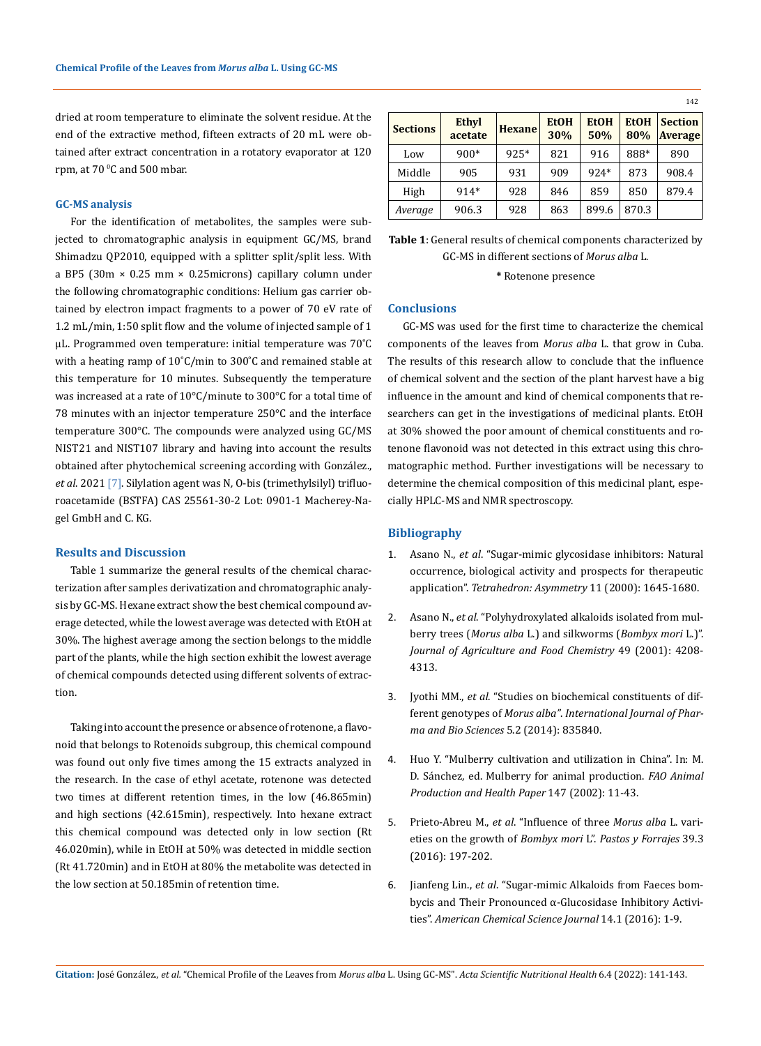dried at room temperature to eliminate the solvent residue. At the end of the extractive method, fifteen extracts of 20 mL were obtained after extract concentration in a rotatory evaporator at 120 rpm, at 70 °C and 500 mbar.

## **GC-MS analysis**

For the identification of metabolites, the samples were subjected to chromatographic analysis in equipment GC/MS, brand Shimadzu QP2010, equipped with a splitter split/split less. With a BP5 (30m × 0.25 mm × 0.25microns) capillary column under the following chromatographic conditions: Helium gas carrier obtained by electron impact fragments to a power of 70 eV rate of 1.2 mL/min, 1:50 split flow and the volume of injected sample of 1 μL. Programmed oven temperature: initial temperature was 70˚C with a heating ramp of 10˚C/min to 300˚C and remained stable at this temperature for 10 minutes. Subsequently the temperature was increased at a rate of 10°C/minute to 300°C for a total time of 78 minutes with an injector temperature 250°C and the interface temperature 300°C. The compounds were analyzed using GC/MS NIST21 and NIST107 library and having into account the results obtained after phytochemical screening according with González., *et al*. 2021 [7]. Silylation agent was N*,* O-bis (trimethylsilyl) trifluoroacetamide (BSTFA) CAS 25561-30-2 Lot: 0901-1 Macherey-Nagel GmbH and C. KG.

#### **Results and Discussion**

Table 1 summarize the general results of the chemical characterization after samples derivatization and chromatographic analysis by GC-MS. Hexane extract show the best chemical compound average detected, while the lowest average was detected with EtOH at 30%. The highest average among the section belongs to the middle part of the plants, while the high section exhibit the lowest average of chemical compounds detected using different solvents of extraction.

Taking into account the presence or absence of rotenone, a flavonoid that belongs to Rotenoids subgroup, this chemical compound was found out only five times among the 15 extracts analyzed in the research. In the case of ethyl acetate, rotenone was detected two times at different retention times, in the low (46.865min) and high sections (42.615min), respectively. Into hexane extract this chemical compound was detected only in low section (Rt 46.020min), while in EtOH at 50% was detected in middle section (Rt 41.720min) and in EtOH at 80% the metabolite was detected in the low section at 50.185min of retention time.

|                 |                         |               |                    |                    |                    | 142                              |
|-----------------|-------------------------|---------------|--------------------|--------------------|--------------------|----------------------------------|
| <b>Sections</b> | <b>Ethyl</b><br>acetate | <b>Hexane</b> | <b>EtOH</b><br>30% | <b>EtOH</b><br>50% | <b>EtOH</b><br>80% | <b>Section</b><br><b>Average</b> |
| Low             | $900*$                  | 925*          | 821                | 916                | 888*               | 890                              |
| Middle          | 905                     | 931           | 909                | $924*$             | 873                | 908.4                            |
| High            | 914*                    | 928           | 846                | 859                | 850                | 879.4                            |
| Average         | 906.3                   | 928           | 863                | 899.6              | 870.3              |                                  |

**Table 1**: General results of chemical components characterized by GC-MS in different sections of *Morus alba* L.

### **\*** Rotenone presence

#### **Conclusions**

GC-MS was used for the first time to characterize the chemical components of the leaves from *Morus alba* L. that grow in Cuba. The results of this research allow to conclude that the influence of chemical solvent and the section of the plant harvest have a big influence in the amount and kind of chemical components that researchers can get in the investigations of medicinal plants. EtOH at 30% showed the poor amount of chemical constituents and rotenone flavonoid was not detected in this extract using this chromatographic method. Further investigations will be necessary to determine the chemical composition of this medicinal plant, especially HPLC-MS and NMR spectroscopy.

## **Bibliography**

- 1. Asano N., *et al*[. "Sugar-mimic glycosidase inhibitors: Natural](https://www.semanticscholar.org/paper/Sugar-mimic-glycosidase-inhibitors%3A-natural-and-for-Asano-Nash/34eb027388b9fd75e85d6a2d80760a5de16670bb)  [occurrence, biological activity and prospects for therapeutic](https://www.semanticscholar.org/paper/Sugar-mimic-glycosidase-inhibitors%3A-natural-and-for-Asano-Nash/34eb027388b9fd75e85d6a2d80760a5de16670bb)  application". *[Tetrahedron: Asymmetry](https://www.semanticscholar.org/paper/Sugar-mimic-glycosidase-inhibitors%3A-natural-and-for-Asano-Nash/34eb027388b9fd75e85d6a2d80760a5de16670bb)* 11 (2000): 1645-1680.
- 2. Asano N., *et al*[. "Polyhydroxylated alkaloids isolated from mul](https://pubmed.ncbi.nlm.nih.gov/11559112/)berry trees (*Morus alba* [L.\) and silkworms \(](https://pubmed.ncbi.nlm.nih.gov/11559112/)*Bombyx mori* L.)". *[Journal of Agriculture and Food Chemistry](https://pubmed.ncbi.nlm.nih.gov/11559112/)* 49 (2001): 4208- [4313.](https://pubmed.ncbi.nlm.nih.gov/11559112/)
- 3. Jyothi MM., *et al*[. "Studies on biochemical constituents of dif](https://www.researchgate.net/publication/282707964_Studies_on_biochemical_constituents_of_different_genotypes_of_Morus_alba_L)ferent genotypes of *Morus alba"*. *[International Journal of Phar](https://www.researchgate.net/publication/282707964_Studies_on_biochemical_constituents_of_different_genotypes_of_Morus_alba_L)[ma and Bio Sciences](https://www.researchgate.net/publication/282707964_Studies_on_biochemical_constituents_of_different_genotypes_of_Morus_alba_L)* 5.2 (2014): 835840.
- 4. [Huo Y. "Mulberry cultivation and utilization in China". In: M.](https://www.fao.org/3/x9895E/x9895e03.htm)  [D. Sánchez, ed. Mulberry for animal production.](https://www.fao.org/3/x9895E/x9895e03.htm) *FAO Animal [Production and Health Paper](https://www.fao.org/3/x9895E/x9895e03.htm)* 147 (2002): 11-43.
- 5. Prieto-Abreu M., *et al*[. "Influence of three](http://scielo.sld.cu/pdf/pyf/v39n3/en_pyf08316.pdf) *Morus alba* L. vari[eties on the growth of](http://scielo.sld.cu/pdf/pyf/v39n3/en_pyf08316.pdf) *Bombyx mori* L". *Pastos y Forrajes* 39.3 [\(2016\): 197-202.](http://scielo.sld.cu/pdf/pyf/v39n3/en_pyf08316.pdf)
- 6. Jianfeng Lin., *et al*[. "Sugar-mimic Alkaloids from Faeces bom](https://www.researchgate.net/publication/301576575_Sugar-mimic_Alkaloids_from_Faeces_bombycis_and_Their_Pronounced_a-Glucosidase_Inhibitory_Activities)[bycis and Their Pronounced α-Glucosidase Inhibitory Activi](https://www.researchgate.net/publication/301576575_Sugar-mimic_Alkaloids_from_Faeces_bombycis_and_Their_Pronounced_a-Glucosidase_Inhibitory_Activities)ties". *[American Chemical Science Journal](https://www.researchgate.net/publication/301576575_Sugar-mimic_Alkaloids_from_Faeces_bombycis_and_Their_Pronounced_a-Glucosidase_Inhibitory_Activities)* 14.1 (2016): 1-9.